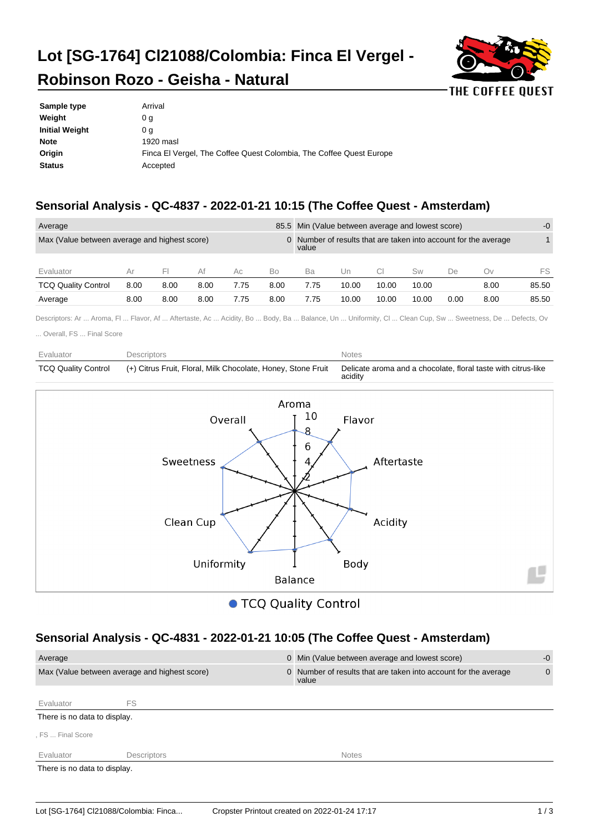# **Lot [SG-1764] Cl21088/Colombia: Finca El Vergel -**



## **Robinson Rozo - Geisha - Natural**

| Sample type           | Arrival                                                             |
|-----------------------|---------------------------------------------------------------------|
| Weight                | 0 <sub>q</sub>                                                      |
| <b>Initial Weight</b> | 0 a                                                                 |
| <b>Note</b>           | 1920 masl                                                           |
| Origin                | Finca El Vergel, The Coffee Quest Colombia, The Coffee Quest Europe |
| <b>Status</b>         | Accepted                                                            |
|                       |                                                                     |

### **Sensorial Analysis - QC-4837 - 2022-01-21 10:15 (The Coffee Quest - Amsterdam)**

| Average                                       |      |      |      |      |      |       | 85.5 Min (Value between average and lowest score) |       |       |      |                                                                 | $-0$  |
|-----------------------------------------------|------|------|------|------|------|-------|---------------------------------------------------|-------|-------|------|-----------------------------------------------------------------|-------|
| Max (Value between average and highest score) |      |      |      |      |      | value |                                                   |       |       |      | 0 Number of results that are taken into account for the average |       |
| Evaluator                                     | Ar   | FΙ   | Af   | Ac.  | Bo   | Ba    | Un                                                |       | Sw    | De   | Οv                                                              | FS    |
| <b>TCQ Quality Control</b>                    | 8.00 | 8.00 | 8.00 | 7.75 | 8.00 | 7.75  | 10.00                                             | 10.00 | 10.00 |      | 8.00                                                            | 85.50 |
| Average                                       | 8.00 | 8.00 | 8.00 | 7.75 | 8.00 | 7.75  | 10.00                                             | 10.00 | 10.00 | 0.00 | 8.00                                                            | 85.50 |

Descriptors: Ar ... Aroma, Fl ... Flavor, Af ... Aftertaste, Ac ... Acidity, Bo ... Body, Ba ... Balance, Un ... Uniformity, Cl ... Clean Cup, Sw ... Sweetness, De ... Defects, Ov

... Overall, FS ... Final Score

| Evaluator                  | Descriptors                                                  | <b>Notes</b>                                                             |
|----------------------------|--------------------------------------------------------------|--------------------------------------------------------------------------|
| <b>TCQ Quality Control</b> | (+) Citrus Fruit, Floral, Milk Chocolate, Honey, Stone Fruit | Delicate aroma and a chocolate, floral taste with citrus-like<br>acidity |



● TCQ Quality Control

#### **Sensorial Analysis - QC-4831 - 2022-01-21 10:05 (The Coffee Quest - Amsterdam)**

| Average                      |                                               | 0 Min (Value between average and lowest score)                           | $-0$         |
|------------------------------|-----------------------------------------------|--------------------------------------------------------------------------|--------------|
|                              | Max (Value between average and highest score) | 0 Number of results that are taken into account for the average<br>value | $\mathbf{0}$ |
| Evaluator                    | FS.                                           |                                                                          |              |
| There is no data to display. |                                               |                                                                          |              |
| . FS  Final Score            |                                               |                                                                          |              |
| Evaluator                    | <b>Descriptors</b>                            | <b>Notes</b>                                                             |              |
| There is no data to display. |                                               |                                                                          |              |
|                              |                                               |                                                                          |              |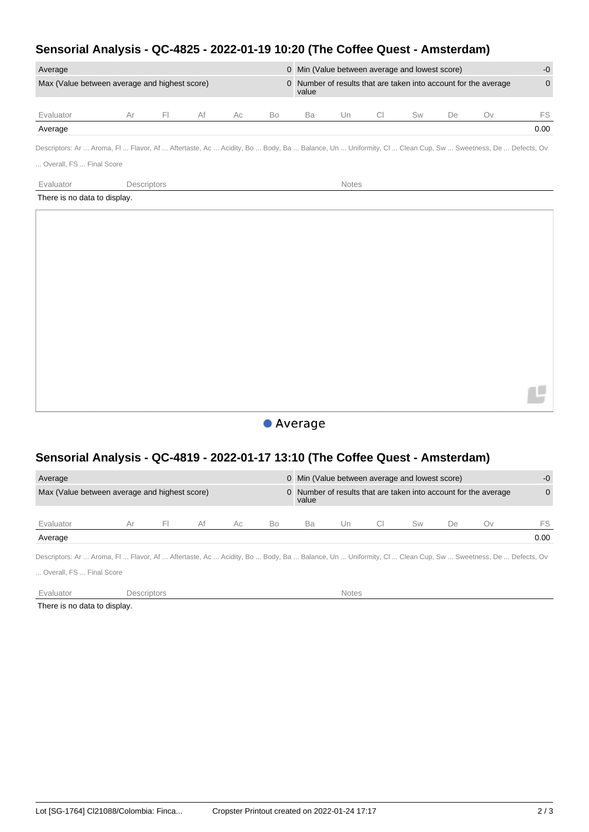#### **Sensorial Analysis - QC-4825 - 2022-01-19 10:20 (The Coffee Quest - Amsterdam)**

| Average                                       |            |    |     |    |       |    |    | 0 Min (Value between average and lowest score) |    |                                                                 | $-0$     |
|-----------------------------------------------|------------|----|-----|----|-------|----|----|------------------------------------------------|----|-----------------------------------------------------------------|----------|
| Max (Value between average and highest score) |            |    |     |    | value |    |    |                                                |    | 0 Number of results that are taken into account for the average | $\Omega$ |
| Evaluator                                     | $\vdash$ l | Af | Ac. | Bo | Ba    | Un | CI | Sw                                             | De | Ov                                                              | FS       |
| Average                                       |            |    |     |    |       |    |    |                                                |    |                                                                 | 0.00     |

Descriptors: Ar ... Aroma, Fl ... Flavor, Af ... Aftertaste, Ac ... Acidity, Bo ... Body, Ba ... Balance, Un ... Uniformity, Cl ... Clean Cup, Sw ... Sweetness, De ... Defects, Ov

... Overall, FS ... Final Score

Evaluator **Descriptors Descriptors Notes** 

There is no data to display.



#### **Sensorial Analysis - QC-4819 - 2022-01-17 13:10 (The Coffee Quest - Amsterdam)**

| Average<br>Max (Value between average and highest score)                                                                                              |    |    |    |     |    | 0 Min (Value between average and lowest score)<br>value |      |    |    | 0 Number of results that are taken into account for the average | $-0$<br>$\Omega$ |
|-------------------------------------------------------------------------------------------------------------------------------------------------------|----|----|----|-----|----|---------------------------------------------------------|------|----|----|-----------------------------------------------------------------|------------------|
| Evaluator                                                                                                                                             | Αr | E. | Af | Ac. | Bo | Ba                                                      | l Jn | Sw | De | ()V                                                             | FS               |
| Average                                                                                                                                               |    |    |    |     |    |                                                         |      |    |    |                                                                 | 0.00             |
| Descriptors: Ar  Aroma, Fl  Flavor, Af  Aftertaste, Ac  Acidity, Bo  Body, Ba  Balance, Un  Uniformity, Cl  Clean Cup, Sw  Sweetness, De  Defects, Ov |    |    |    |     |    |                                                         |      |    |    |                                                                 |                  |

... Overall, FS ... Final Score

Evaluator **Descriptors** Descriptors **Notes** 

There is no data to display.

Ľ